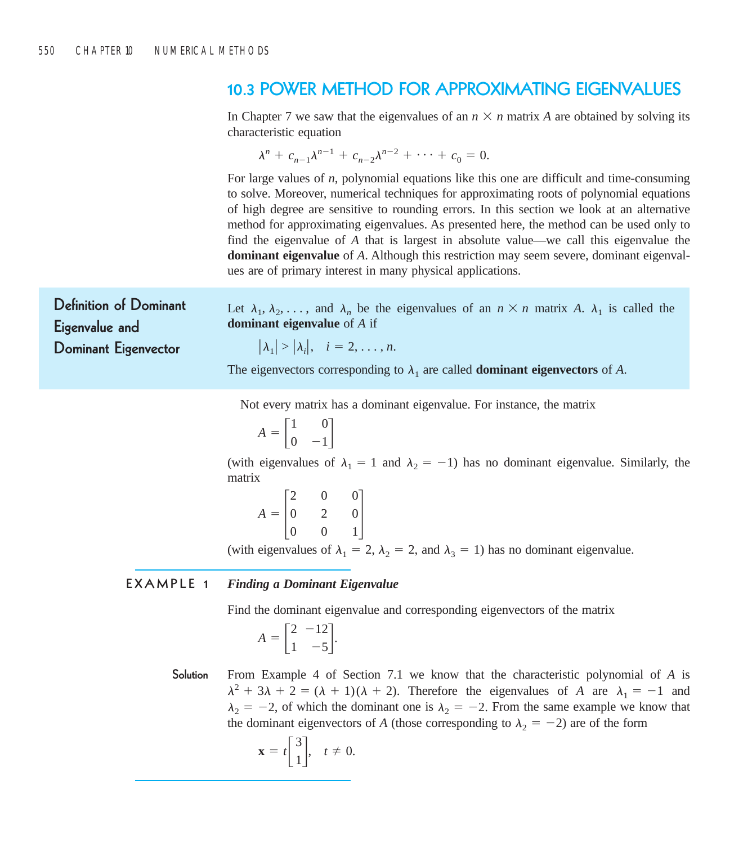### **10.3 POWER METHOD FOR APPROXIMATING EIGENVALUES**

In Chapter 7 we saw that the eigenvalues of an  $n \times n$  matrix A are obtained by solving its characteristic equation

$$
\lambda^{n} + c_{n-1}\lambda^{n-1} + c_{n-2}\lambda^{n-2} + \cdots + c_{0} = 0.
$$

For large values of *n*, polynomial equations like this one are difficult and time-consuming to solve. Moreover, numerical techniques for approximating roots of polynomial equations of high degree are sensitive to rounding errors. In this section we look at an alternative method for approximating eigenvalues. As presented here, the method can be used only to find the eigenvalue of *A* that is largest in absolute value—we call this eigenvalue the **dominant eigenvalue** of *A*. Although this restriction may seem severe, dominant eigenvalues are of primary interest in many physical applications.

**Definition of Dominant Eigenvalue and Dominant Eigenvector**

Let  $\lambda_1, \lambda_2, \ldots$ , and  $\lambda_n$  be the eigenvalues of an  $n \times n$  matrix A.  $\lambda_1$  is called the **dominant eigenvalue** of *A* if

$$
|\lambda_1| > |\lambda_i|, \quad i = 2, \ldots, n.
$$

The eigenvectors corresponding to  $\lambda_1$  are called **dominant eigenvectors** of *A*.

Not every matrix has a dominant eigenvalue. For instance, the matrix

$$
A = \begin{bmatrix} 1 & 0 \\ 0 & -1 \end{bmatrix}
$$

(with eigenvalues of  $\lambda_1 = 1$  and  $\lambda_2 = -1$ ) has no dominant eigenvalue. Similarly, the matrix

 $A =$ 2  $\boldsymbol{0}$ 0 0 2 0 0  $\boldsymbol{0}$  $\begin{bmatrix} 0 \\ 1 \end{bmatrix}$ 

(with eigenvalues of  $\lambda_1 = 2$ ,  $\lambda_2 = 2$ , and  $\lambda_3 = 1$ ) has no dominant eigenvalue.

### **EXAMPLE 1** *Finding a Dominant Eigenvalue*

Find the dominant eigenvalue and corresponding eigenvectors of the matrix

$$
A = \begin{bmatrix} 2 & -12 \\ 1 & -5 \end{bmatrix}.
$$

**Solution** From Example 4 of Section 7.1 we know that the characteristic polynomial of *A* is  $\lambda^2 + 3\lambda + 2 = (\lambda + 1)(\lambda + 2)$ . Therefore the eigenvalues of *A* are  $\lambda_1 = -1$  and  $\lambda_2 = -2$ , of which the dominant one is  $\lambda_2 = -2$ . From the same example we know that the dominant eigenvectors of *A* (those corresponding to  $\lambda_2 = -2$ ) are of the form

$$
\mathbf{x} = t \begin{bmatrix} 3 \\ 1 \end{bmatrix}, \quad t \neq 0.
$$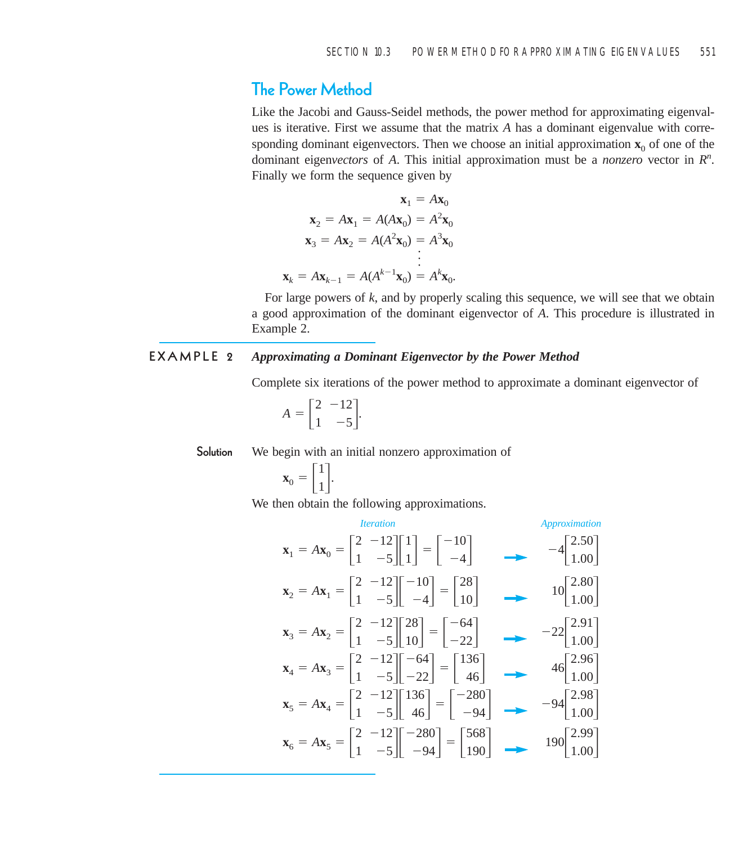# **The Power Method**

Like the Jacobi and Gauss-Seidel methods, the power method for approximating eigenvalues is iterative. First we assume that the matrix *A* has a dominant eigenvalue with corresponding dominant eigenvectors. Then we choose an initial approximation  $\mathbf{x}_0$  of one of the dominant eigenvectors of A. This initial approximation must be a *nonzero* vector in  $R<sup>n</sup>$ . Finally we form the sequence given by

$$
\mathbf{x}_1 = A\mathbf{x}_0
$$
  
\n
$$
\mathbf{x}_2 = A\mathbf{x}_1 = A(A\mathbf{x}_0) = A^2\mathbf{x}_0
$$
  
\n
$$
\mathbf{x}_3 = A\mathbf{x}_2 = A(A^2\mathbf{x}_0) = A^3\mathbf{x}_0
$$
  
\n
$$
\vdots
$$
  
\n
$$
\mathbf{x}_k = A\mathbf{x}_{k-1} = A(A^{k-1}\mathbf{x}_0) = A^k\mathbf{x}_0.
$$

For large powers of *k*, and by properly scaling this sequence, we will see that we obtain a good approximation of the dominant eigenvector of *A*. This procedure is illustrated in Example 2.

### **EXAMPLE 2** *Approximating a Dominant Eigenvector by the Power Method*

Complete six iterations of the power method to approximate a dominant eigenvector of

$$
A = \begin{bmatrix} 2 & -12 \\ 1 & -5 \end{bmatrix}.
$$

**Solution** We begin with an initial nonzero approximation of

$$
\mathbf{x}_0 = \begin{bmatrix} 1 \\ 1 \end{bmatrix}.
$$

We then obtain the following approximations.

*Iteration*  
\n
$$
\mathbf{x}_1 = A\mathbf{x}_0 = \begin{bmatrix} 2 & -12 \\ 1 & -5 \end{bmatrix} \begin{bmatrix} 1 \\ 1 \end{bmatrix} = \begin{bmatrix} -10 \\ -4 \end{bmatrix}
$$
\n
$$
\mathbf{x}_2 = A\mathbf{x}_1 = \begin{bmatrix} 2 & -12 \\ 1 & -5 \end{bmatrix} \begin{bmatrix} -10 \\ -4 \end{bmatrix} = \begin{bmatrix} 28 \\ 10 \end{bmatrix}
$$
\n
$$
\mathbf{x}_3 = A\mathbf{x}_2 = \begin{bmatrix} 2 & -12 \\ 1 & -5 \end{bmatrix} \begin{bmatrix} 28 \\ 10 \end{bmatrix} = \begin{bmatrix} -64 \\ -22 \end{bmatrix}
$$
\n
$$
\mathbf{x}_4 = A\mathbf{x}_3 = \begin{bmatrix} 2 & -12 \\ 1 & -5 \end{bmatrix} \begin{bmatrix} -64 \\ -22 \end{bmatrix} = \begin{bmatrix} 136 \\ 46 \end{bmatrix}
$$
\n
$$
\mathbf{x}_5 = A\mathbf{x}_4 = \begin{bmatrix} 2 & -12 \\ 1 & -5 \end{bmatrix} \begin{bmatrix} 136 \\ 46 \end{bmatrix} = \begin{bmatrix} -280 \\ -94 \end{bmatrix}
$$
\n
$$
\mathbf{x}_6 = A\mathbf{x}_5 = \begin{bmatrix} 2 & -12 \\ 1 & -5 \end{bmatrix} \begin{bmatrix} -280 \\ -94 \end{bmatrix} = \begin{bmatrix} 568 \\ 190 \end{bmatrix}
$$
\n
$$
\mathbf{x}_7 = A\mathbf{x}_8 = \begin{bmatrix} 2 & -12 \\ 1 & -5 \end{bmatrix} \begin{bmatrix} -280 \\ -94 \end{bmatrix} = \begin{bmatrix} 568 \\ 190 \end{bmatrix}
$$
\n
$$
\mathbf{x}_8 = A\mathbf{x}_9 = \begin{bmatrix} 2 & -12 \\ 1 & -5 \end{bmatrix} \begin{bmatrix} -280 \\ -94 \end{bmatrix} = \begin{bmatrix} 568 \\ 190 \end{bmatrix}
$$
\n
$$
\mathbf{x}_9 = A\mathbf{x}_0 = \begin{bmatrix} 2 & -12 \\ 1 & -5 \end{bmatrix} \begin{bmatrix} -280 \\ -94 \end
$$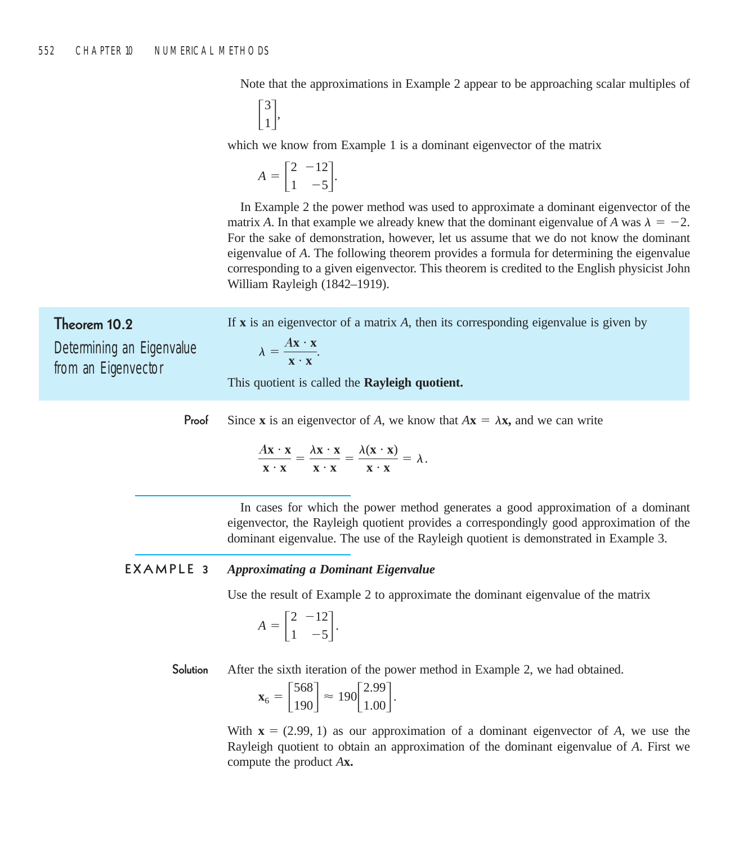Note that the approximations in Example 2 appear to be approaching scalar multiples of

 $\begin{bmatrix} 3 \\ 1 \end{bmatrix}$ 

which we know from Example 1 is a dominant eigenvector of the matrix

$$
A = \begin{bmatrix} 2 & -12 \\ 1 & -5 \end{bmatrix}.
$$

In Example 2 the power method was used to approximate a dominant eigenvector of the matrix A. In that example we already knew that the dominant eigenvalue of A was  $\lambda = -2$ . For the sake of demonstration, however, let us assume that we do not know the dominant eigenvalue of *A*. The following theorem provides a formula for determining the eigenvalue corresponding to a given eigenvector. This theorem is credited to the English physicist John William Rayleigh (1842–1919).

**Theorem 10.2** Determining an Eigenvalue from an Eigenvector

If **x** is an eigenvector of a matrix *A*, then its corresponding eigenvalue is given by

 $\lambda = \frac{A\mathbf{x} \cdot \mathbf{x}}{\mathbf{x} \cdot \mathbf{x}}$ .

This quotient is called the **Rayleigh quotient.**

**Proof** Since **x** is an eigenvector of *A*, we know that  $A$ **x** =  $\lambda$ **x**, and we can write

$$
\frac{A\mathbf{x}\cdot\mathbf{x}}{\mathbf{x}\cdot\mathbf{x}} = \frac{\lambda\mathbf{x}\cdot\mathbf{x}}{\mathbf{x}\cdot\mathbf{x}} = \frac{\lambda(\mathbf{x}\cdot\mathbf{x})}{\mathbf{x}\cdot\mathbf{x}} = \lambda.
$$

In cases for which the power method generates a good approximation of a dominant eigenvector, the Rayleigh quotient provides a correspondingly good approximation of the dominant eigenvalue. The use of the Rayleigh quotient is demonstrated in Example 3.

### **EXAMPLE 3** *Approximating a Dominant Eigenvalue*

Use the result of Example 2 to approximate the dominant eigenvalue of the matrix

$$
A = \begin{bmatrix} 2 & -12 \\ 1 & -5 \end{bmatrix}.
$$

**Solution** After the sixth iteration of the power method in Example 2, we had obtained.

$$
\mathbf{x}_6 = \begin{bmatrix} 568 \\ 190 \end{bmatrix} \approx 190 \begin{bmatrix} 2.99 \\ 1.00 \end{bmatrix}.
$$

With  $\mathbf{x} = (2.99, 1)$  as our approximation of a dominant eigenvector of *A*, we use the Rayleigh quotient to obtain an approximation of the dominant eigenvalue of *A*. First we compute the product *A***x.**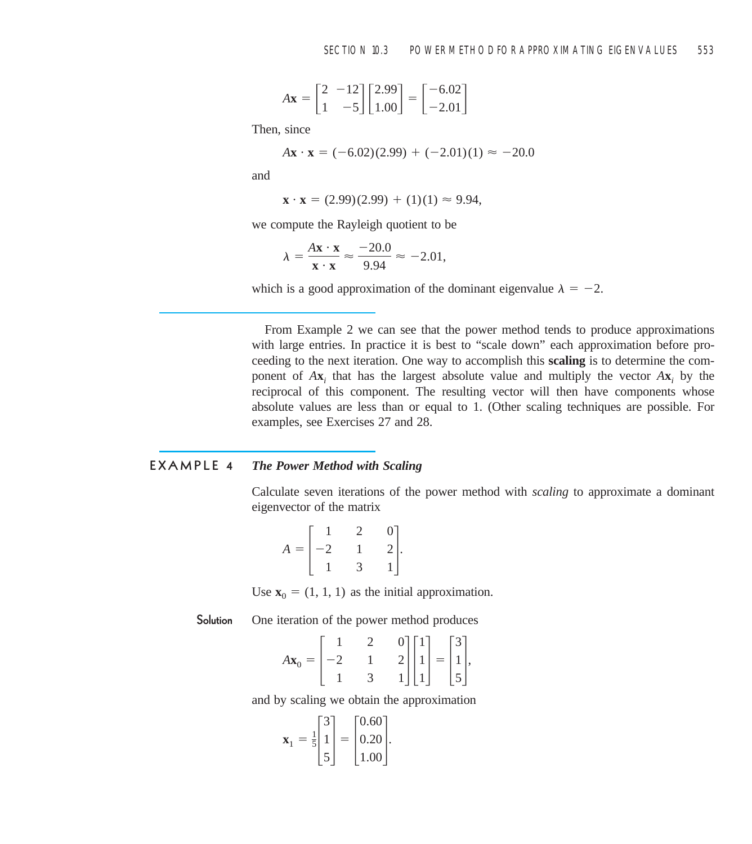$$
A\mathbf{x} = \begin{bmatrix} 2 & -12 \\ 1 & -5 \end{bmatrix} \begin{bmatrix} 2.99 \\ 1.00 \end{bmatrix} = \begin{bmatrix} -6.02 \\ -2.01 \end{bmatrix}
$$

Then, since

$$
A\mathbf{x} \cdot \mathbf{x} = (-6.02)(2.99) + (-2.01)(1) \approx -20.0
$$

and

$$
\mathbf{x} \cdot \mathbf{x} = (2.99)(2.99) + (1)(1) \approx 9.94,
$$

we compute the Rayleigh quotient to be

$$
\lambda = \frac{A\mathbf{x} \cdot \mathbf{x}}{\mathbf{x} \cdot \mathbf{x}} \approx \frac{-20.0}{9.94} \approx -2.01,
$$

which is a good approximation of the dominant eigenvalue  $\lambda = -2$ .

From Example 2 we can see that the power method tends to produce approximations with large entries. In practice it is best to "scale down" each approximation before proceeding to the next iteration. One way to accomplish this **scaling** is to determine the component of  $A$ **x**<sub>*i*</sub> that has the largest absolute value and multiply the vector  $A$ **x**<sub>*i*</sub> by the reciprocal of this component. The resulting vector will then have components whose absolute values are less than or equal to 1. (Other scaling techniques are possible. For examples, see Exercises 27 and 28.

#### **EXAMPLE 4** *The Power Method with Scaling*

Calculate seven iterations of the power method with *scaling* to approximate a dominant eigenvector of the matrix

$$
A = \begin{bmatrix} 1 & 2 & 0 \\ -2 & 1 & 2 \\ 1 & 3 & 1 \end{bmatrix}.
$$

Use  $\mathbf{x}_0 = (1, 1, 1)$  as the initial approximation.

**Solution** One iteration of the power method produces

$$
A\mathbf{x}_0 = \begin{bmatrix} 1 & 2 & 0 \\ -2 & 1 & 2 \\ 1 & 3 & 1 \end{bmatrix} \begin{bmatrix} 1 \\ 1 \\ 1 \end{bmatrix} = \begin{bmatrix} 3 \\ 1 \\ 5 \end{bmatrix},
$$

and by scaling we obtain the approximation

$$
\mathbf{x}_1 = \frac{1}{5} \begin{bmatrix} 3 \\ 1 \\ 5 \end{bmatrix} = \begin{bmatrix} 0.60 \\ 0.20 \\ 1.00 \end{bmatrix}.
$$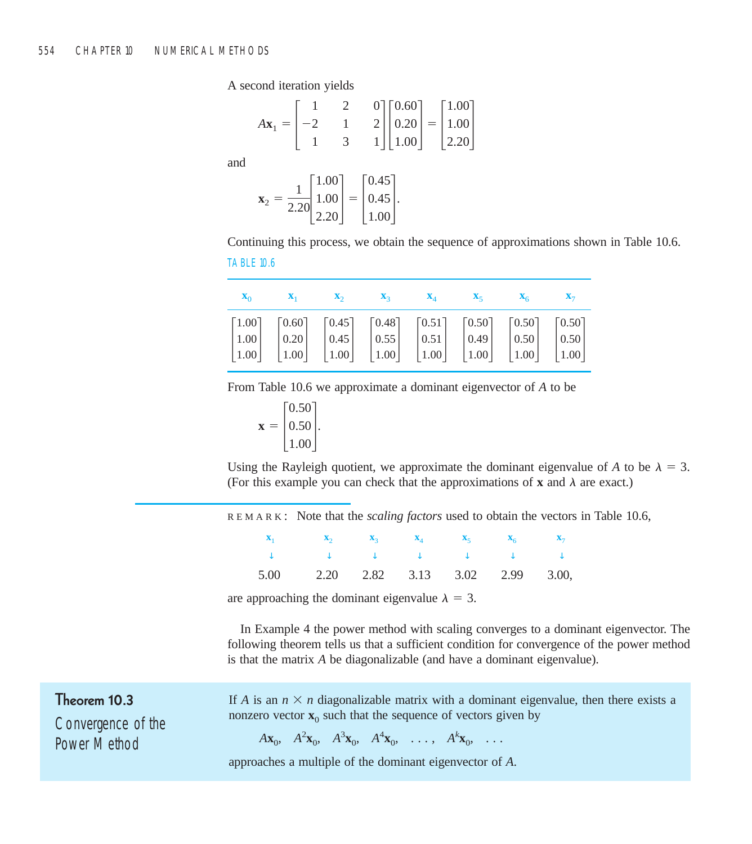A second iteration yields

$$
A\mathbf{x}_1 = \begin{bmatrix} 1 & 2 & 0 \\ -2 & 1 & 2 \\ 1 & 3 & 1 \end{bmatrix} \begin{bmatrix} 0.60 \\ 0.20 \\ 1.00 \end{bmatrix} = \begin{bmatrix} 1.00 \\ 1.00 \\ 2.20 \end{bmatrix}
$$

and

$$
\mathbf{x}_2 = \frac{1}{2.20} \begin{bmatrix} 1.00 \\ 1.00 \\ 2.20 \end{bmatrix} = \begin{bmatrix} 0.45 \\ 0.45 \\ 1.00 \end{bmatrix}.
$$

Continuing this process, we obtain the sequence of approximations shown in Table 10.6. TABLE 10.6

| $X_0$ $X_1$ $X_2$ $X_3$ $X_4$ $X_5$ $X_6$ $X_7$                                                                                                                                                                                                                                                                                                                                                                          |  |  |  |
|--------------------------------------------------------------------------------------------------------------------------------------------------------------------------------------------------------------------------------------------------------------------------------------------------------------------------------------------------------------------------------------------------------------------------|--|--|--|
| $\begin{bmatrix} 1.00 \\ 1.00 \\ 1.00 \end{bmatrix} \quad \begin{bmatrix} 0.60 \\ 0.20 \\ 1.00 \end{bmatrix} \quad \begin{bmatrix} 0.45 \\ 0.45 \\ 1.00 \end{bmatrix} \quad \begin{bmatrix} 0.48 \\ 0.55 \\ 1.00 \end{bmatrix} \quad \begin{bmatrix} 0.51 \\ 0.51 \\ 1.00 \end{bmatrix} \quad \begin{bmatrix} 0.50 \\ 0.49 \\ 1.00 \end{bmatrix} \quad \begin{bmatrix} 0.50 \\ 0.50 \\ 1.00 \end{bmatrix} \quad \begin{$ |  |  |  |
|                                                                                                                                                                                                                                                                                                                                                                                                                          |  |  |  |

From Table 10.6 we approximate a dominant eigenvector of *A* to be

$$
\mathbf{x} = \begin{bmatrix} 0.50 \\ 0.50 \\ 1.00 \end{bmatrix}.
$$

Using the Rayleigh quotient, we approximate the dominant eigenvalue of A to be  $\lambda = 3$ . (For this example you can check that the approximations of **x** and  $\lambda$  are exact.)

REMARK : Note that the *scaling factors* used to obtain the vectors in Table 10.6,

| $\mathbf{x}_1$ $\mathbf{x}_2$ $\mathbf{x}_3$ $\mathbf{x}_4$ $\mathbf{x}_5$ $\mathbf{x}_6$ $\mathbf{x}_7$                                         |  |  |  |
|--------------------------------------------------------------------------------------------------------------------------------------------------|--|--|--|
| $\downarrow\qquad\qquad\downarrow\qquad\qquad\downarrow\qquad\qquad\downarrow\qquad\qquad\downarrow\qquad\qquad\downarrow\qquad\qquad\downarrow$ |  |  |  |
| 5.00 2.20 2.82 3.13 3.02 2.99 3.00,                                                                                                              |  |  |  |

are approaching the dominant eigenvalue  $\lambda = 3$ .

In Example 4 the power method with scaling converges to a dominant eigenvector. The following theorem tells us that a sufficient condition for convergence of the power method is that the matrix *A* be diagonalizable (and have a dominant eigenvalue).

### **Theorem 10.3**

Convergence of the Power Method

If *A* is an  $n \times n$  diagonalizable matrix with a dominant eigenvalue, then there exists a nonzero vector  $\mathbf{x}_0$  such that the sequence of vectors given by

 $A\mathbf{x}_0, A^2\mathbf{x}_0, A^3\mathbf{x}_0, A^4\mathbf{x}_0, \ldots, A^k\mathbf{x}_0, \ldots$ 

approaches a multiple of the dominant eigenvector of *A*.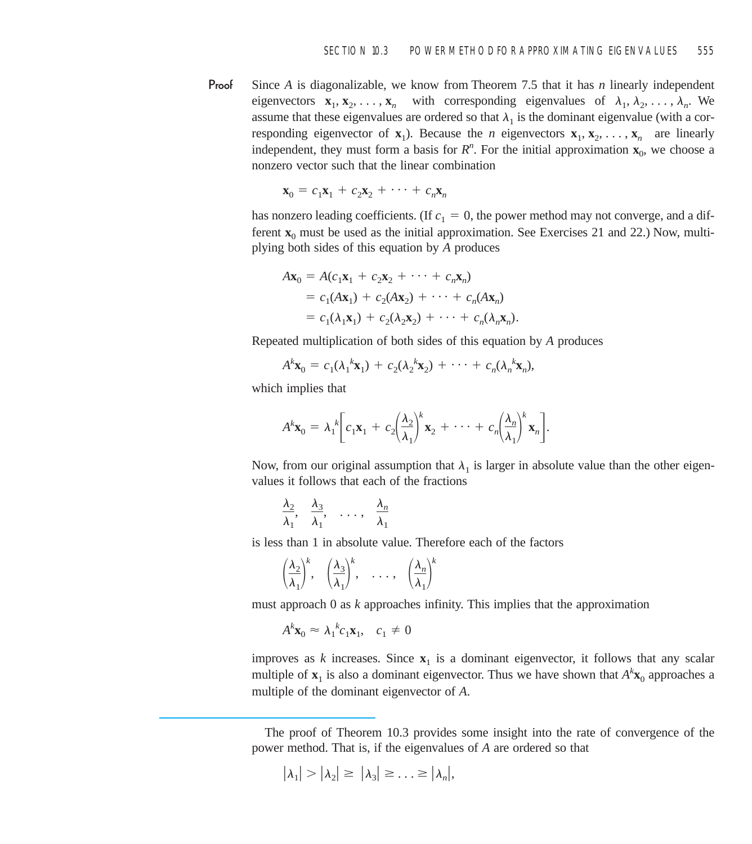**Proof** Since *A* is diagonalizable, we know from Theorem 7.5 that it has *n* linearly independent eigenvectors  $\mathbf{x}_1, \mathbf{x}_2, \dots, \mathbf{x}_n$  with corresponding eigenvalues of  $\lambda_1, \lambda_2, \dots, \lambda_n$ . We assume that these eigenvalues are ordered so that  $\lambda_1$  is the dominant eigenvalue (with a corresponding eigenvector of  $\mathbf{x}_1$ ). Because the *n* eigenvectors  $\mathbf{x}_1, \mathbf{x}_2, \ldots, \mathbf{x}_n$  are linearly independent, they must form a basis for  $R<sup>n</sup>$ . For the initial approximation  $\mathbf{x}_0$ , we choose a nonzero vector such that the linear combination

$$
\mathbf{x}_0 = c_1 \mathbf{x}_1 + c_2 \mathbf{x}_2 + \cdots + c_n \mathbf{x}_n
$$

has nonzero leading coefficients. (If  $c_1 = 0$ , the power method may not converge, and a different  $\mathbf{x}_0$  must be used as the initial approximation. See Exercises 21 and 22.) Now, multiplying both sides of this equation by *A* produces

$$
A\mathbf{x}_0 = A(c_1\mathbf{x}_1 + c_2\mathbf{x}_2 + \cdots + c_n\mathbf{x}_n)
$$
  
=  $c_1(A\mathbf{x}_1) + c_2(A\mathbf{x}_2) + \cdots + c_n(A\mathbf{x}_n)$   
=  $c_1(\lambda_1\mathbf{x}_1) + c_2(\lambda_2\mathbf{x}_2) + \cdots + c_n(\lambda_n\mathbf{x}_n)$ .

Repeated multiplication of both sides of this equation by *A* produces

$$
A^k \mathbf{x}_0 = c_1(\lambda_1^k \mathbf{x}_1) + c_2(\lambda_2^k \mathbf{x}_2) + \cdots + c_n(\lambda_n^k \mathbf{x}_n),
$$

which implies that

$$
A^k \mathbf{x}_0 = \lambda_1^k \bigg[ c_1 \mathbf{x}_1 + c_2 \bigg( \frac{\lambda_2}{\lambda_1} \bigg)^k \mathbf{x}_2 + \cdots + c_n \bigg( \frac{\lambda_n}{\lambda_1} \bigg)^k \mathbf{x}_n \bigg].
$$

Now, from our original assumption that  $\lambda_1$  is larger in absolute value than the other eigenvalues it follows that each of the fractions

$$
\frac{\lambda_2}{\lambda_1}, \frac{\lambda_3}{\lambda_1}, \ldots, \frac{\lambda_n}{\lambda_1}
$$

is less than 1 in absolute value. Therefore each of the factors

$$
\left(\frac{\lambda_2}{\lambda_1}\right)^k
$$
,  $\left(\frac{\lambda_3}{\lambda_1}\right)^k$ , ...,  $\left(\frac{\lambda_n}{\lambda_1}\right)^k$ 

must approach 0 as *k* approaches infinity. This implies that the approximation

$$
A^k \mathbf{x}_0 \approx \lambda_1^k c_1 \mathbf{x}_1, \quad c_1 \neq 0
$$

improves as *k* increases. Since  $\mathbf{x}_1$  is a dominant eigenvector, it follows that any scalar multiple of  $\mathbf{x}_1$  is also a dominant eigenvector. Thus we have shown that  $A^k \mathbf{x}_0$  approaches a multiple of the dominant eigenvector of *A*.

$$
|\lambda_1| > |\lambda_2| \geq |\lambda_3| \geq \ldots \geq |\lambda_n|,
$$

The proof of Theorem 10.3 provides some insight into the rate of convergence of the power method. That is, if the eigenvalues of *A* are ordered so that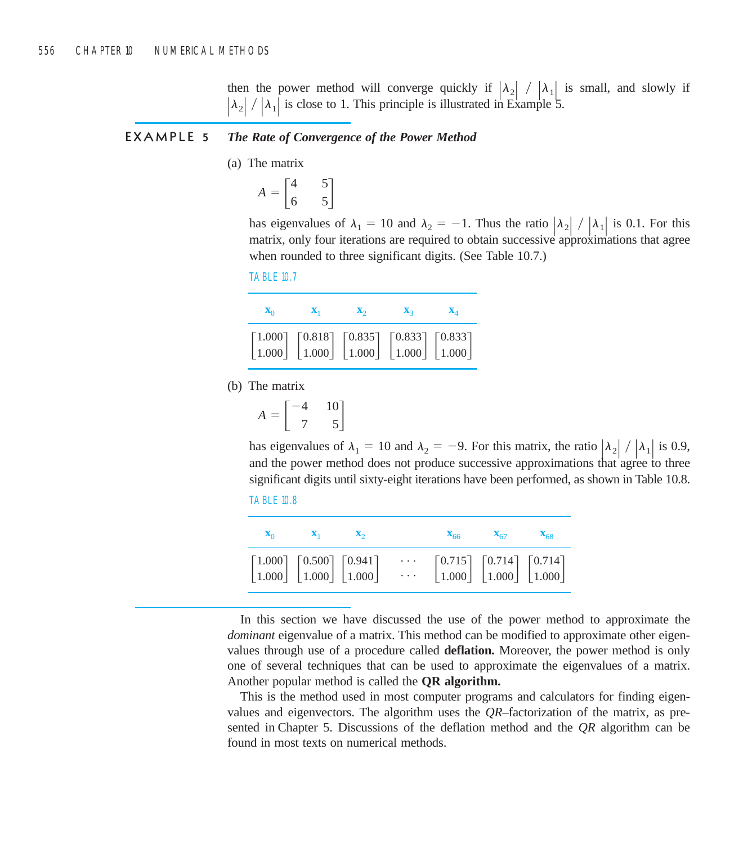then the power method will converge quickly if  $|\lambda_2| / |\lambda_1|$  is small, and slowly if  $|\lambda_2| / |\lambda_1|$  is close to 1. This principle is illustrated in Example 5.

#### **EXAMPLE 5** *The Rate of Convergence of the Power Method*

(a) The matrix

$$
A = \begin{bmatrix} 4 & 5 \\ 6 & 5 \end{bmatrix}
$$

has eigenvalues of  $\lambda_1 = 10$  and  $\lambda_2 = -1$ . Thus the ratio  $|\lambda_2| / |\lambda_1|$  is 0.1. For this matrix, only four iterations are required to obtain successive approximations that agree when rounded to three significant digits. (See Table 10.7.)



| $\mathbf{x}_0$ | $\mathbf{X}_1$ | $\mathbf{X}_2$ | $\mathbf{X}_2$                                                                                                                                                                                                                             | $\mathbf{X}_A$ |
|----------------|----------------|----------------|--------------------------------------------------------------------------------------------------------------------------------------------------------------------------------------------------------------------------------------------|----------------|
|                |                |                | $\begin{bmatrix} 1.000 \\ 1.000 \end{bmatrix}$ $\begin{bmatrix} 0.818 \\ 1.000 \end{bmatrix}$ $\begin{bmatrix} 0.835 \\ 1.000 \end{bmatrix}$ $\begin{bmatrix} 0.833 \\ 1.000 \end{bmatrix}$ $\begin{bmatrix} 0.833 \\ 1.000 \end{bmatrix}$ |                |

(b) The matrix

$$
A = \begin{bmatrix} -4 & 10 \\ 7 & 5 \end{bmatrix}
$$

has eigenvalues of  $\lambda_1 = 10$  and  $\lambda_2 = -9$ . For this matrix, the ratio  $|\lambda_2| / |\lambda_1|$  is 0.9, and the power method does not produce successive approximations that agree to three significant digits until sixty-eight iterations have been performed, as shown in Table 10.8.



|                                                                                                                                          | $\mathbf{X}_0$ $\mathbf{X}_1$ $\mathbf{X}_2$ |  |                                                                                                                                          | $X_{66}$ $X_{67}$ $X_{68}$ |  |
|------------------------------------------------------------------------------------------------------------------------------------------|----------------------------------------------|--|------------------------------------------------------------------------------------------------------------------------------------------|----------------------------|--|
| $\begin{bmatrix} 1.000 \\ 1.000 \end{bmatrix} \begin{bmatrix} 0.500 \\ 1.000 \end{bmatrix} \begin{bmatrix} 0.941 \\ 1.000 \end{bmatrix}$ |                                              |  | $\begin{bmatrix} 0.715 \\ 1.000 \end{bmatrix} \begin{bmatrix} 0.714 \\ 1.000 \end{bmatrix} \begin{bmatrix} 0.714 \\ 1.000 \end{bmatrix}$ |                            |  |

In this section we have discussed the use of the power method to approximate the *dominant* eigenvalue of a matrix. This method can be modified to approximate other eigenvalues through use of a procedure called **deflation.** Moreover, the power method is only one of several techniques that can be used to approximate the eigenvalues of a matrix. Another popular method is called the **QR algorithm.**

This is the method used in most computer programs and calculators for finding eigenvalues and eigenvectors. The algorithm uses the *QR*–factorization of the matrix, as presented in Chapter 5. Discussions of the deflation method and the *QR* algorithm can be found in most texts on numerical methods.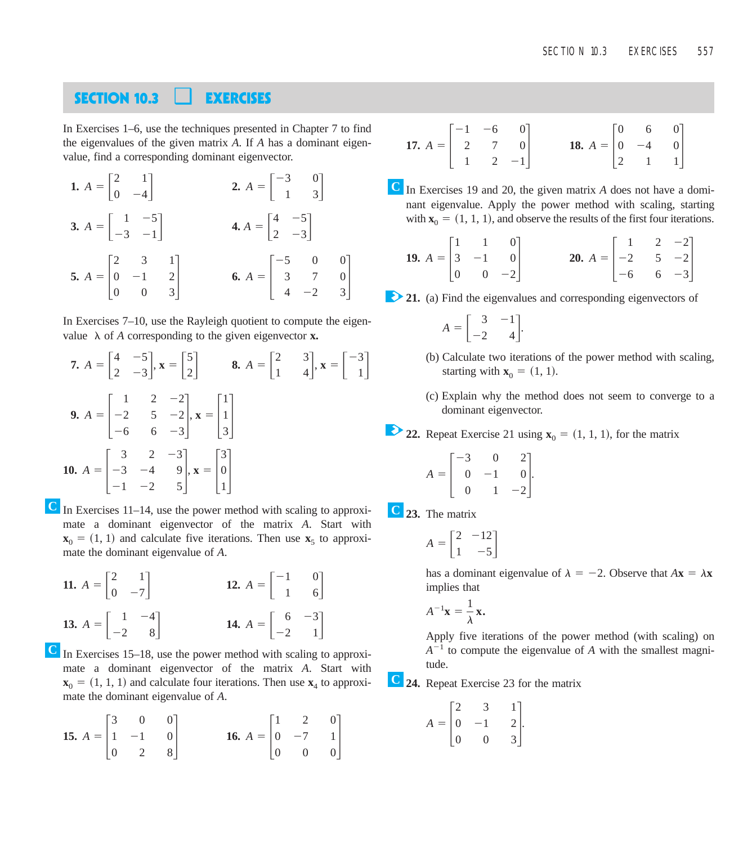### **SECTION 10.3** ❑ **EXERCISES**

In Exercises 1–6, use the techniques presented in Chapter 7 to find the eigenvalues of the given matrix *A*. If *A* has a dominant eigenvalue, find a corresponding dominant eigenvector.

**1.** 
$$
A = \begin{bmatrix} 2 & 1 \\ 0 & -4 \end{bmatrix}
$$
  
\n**2.**  $A = \begin{bmatrix} -3 & 0 \\ 1 & 3 \end{bmatrix}$   
\n**3.**  $A = \begin{bmatrix} 1 & -5 \\ -3 & -1 \end{bmatrix}$   
\n**4.**  $A = \begin{bmatrix} 4 & -5 \\ 2 & -3 \end{bmatrix}$   
\n**5.**  $A = \begin{bmatrix} 2 & 3 & 1 \\ 0 & -1 & 2 \\ 0 & 0 & 3 \end{bmatrix}$   
\n**6.**  $A = \begin{bmatrix} -5 & 0 & 0 \\ 3 & 7 & 0 \\ 4 & -2 & 3 \end{bmatrix}$ 

In Exercises 7–10, use the Rayleigh quotient to compute the eigenvalue  $\lambda$  of *A* corresponding to the given eigenvector **x**.

**7.** 
$$
A = \begin{bmatrix} 4 & -5 \ 2 & -3 \end{bmatrix}
$$
,  $\mathbf{x} = \begin{bmatrix} 5 \ 2 \end{bmatrix}$  **8.**  $A = \begin{bmatrix} 2 & 3 \ 1 & 4 \end{bmatrix}$ ,  $\mathbf{x} = \begin{bmatrix} -3 \ 1 \end{bmatrix}$   
\n**9.**  $A = \begin{bmatrix} 1 & 2 & -2 \ -2 & 5 & -2 \ -6 & 6 & -3 \end{bmatrix}$ ,  $\mathbf{x} = \begin{bmatrix} 1 \ 1 \ 3 \end{bmatrix}$   
\n**10.**  $A = \begin{bmatrix} 3 & 2 & -3 \ -3 & -4 & 9 \ -1 & -2 & 5 \end{bmatrix}$ ,  $\mathbf{x} = \begin{bmatrix} 3 \ 0 \ 1 \end{bmatrix}$ 

 $\overline{C}$  In Exercises 11–14, use the power method with scaling to approximate a dominant eigenvector of the matrix *A*. Start with  $\mathbf{x}_0 = (1, 1)$  and calculate five iterations. Then use  $\mathbf{x}_5$  to approximate the dominant eigenvalue of *A*.

**11.** 
$$
A = \begin{bmatrix} 2 & 1 \\ 0 & -7 \end{bmatrix}
$$
  
\n**12.**  $A = \begin{bmatrix} -1 & 0 \\ 1 & 6 \end{bmatrix}$   
\n**13.**  $A = \begin{bmatrix} 1 & -4 \\ -2 & 8 \end{bmatrix}$   
\n**14.**  $A = \begin{bmatrix} 6 & -3 \\ -2 & 1 \end{bmatrix}$ 

 $\overline{C}$  In Exercises 15–18, use the power method with scaling to approximate a dominant eigenvector of the matrix *A*. Start with  $\mathbf{x}_0 = (1, 1, 1)$  and calculate four iterations. Then use  $\mathbf{x}_4$  to approximate the dominant eigenvalue of *A*.

**15.** 
$$
A = \begin{bmatrix} 3 & 0 & 0 \\ 1 & -1 & 0 \\ 0 & 2 & 8 \end{bmatrix}
$$
 **16.**  $A = \begin{bmatrix} 1 & 2 & 0 \\ 0 & -7 & 1 \\ 0 & 0 & 0 \end{bmatrix}$ 

**17.** 
$$
A = \begin{bmatrix} -1 & -6 & 0 \\ 2 & 7 & 0 \\ 1 & 2 & -1 \end{bmatrix}
$$
 **18.**  $A = \begin{bmatrix} 0 & 6 & 0 \\ 0 & -4 & 0 \\ 2 & 1 & 1 \end{bmatrix}$ 

In Exercises 19 and 20, the given matrix *A* does not have a domi-**C** nant eigenvalue. Apply the power method with scaling, starting with  $\mathbf{x}_0 = (1, 1, 1)$ , and observe the results of the first four iterations.

**19.** 
$$
A = \begin{bmatrix} 1 & 1 & 0 \\ 3 & -1 & 0 \\ 0 & 0 & -2 \end{bmatrix}
$$
 **20.**  $A = \begin{bmatrix} 1 & 2 & -2 \\ -2 & 5 & -2 \\ -6 & 6 & -3 \end{bmatrix}$ 

21. (a) Find the eigenvalues and corresponding eigenvectors of

$$
A = \begin{bmatrix} 3 & -1 \\ -2 & 4 \end{bmatrix}.
$$

- **21.** (b) Calculate two iterations of the power method with scaling, starting with  $\mathbf{x}_0 = (1, 1)$ .
- **21.** (c) Explain why the method does not seem to converge to a dominant eigenvector.

**22.** Repeat Exercise 21 using  $\mathbf{x}_0 = (1, 1, 1)$ , for the matrix

.

$$
A = \begin{bmatrix} -3 & 0 & 2 \\ 0 & -1 & 0 \\ 0 & 1 & -2 \end{bmatrix}
$$

**23.** The matrix **C**

$$
A = \begin{bmatrix} 2 & -12 \\ 1 & -5 \end{bmatrix}
$$

has a dominant eigenvalue of  $\lambda = -2$ . Observe that  $A\mathbf{x} = \lambda \mathbf{x}$ implies that

$$
A^{-1}\mathbf{x} = \frac{1}{\lambda} \mathbf{x}.
$$

Apply five iterations of the power method (with scaling) on  $A^{-1}$  to compute the eigenvalue of A with the smallest magnitude.

**24.** Repeat Exercise 23 for the matrix **C**

$$
A = \begin{bmatrix} 2 & 3 & 1 \\ 0 & -1 & 2 \\ 0 & 0 & 3 \end{bmatrix}.
$$